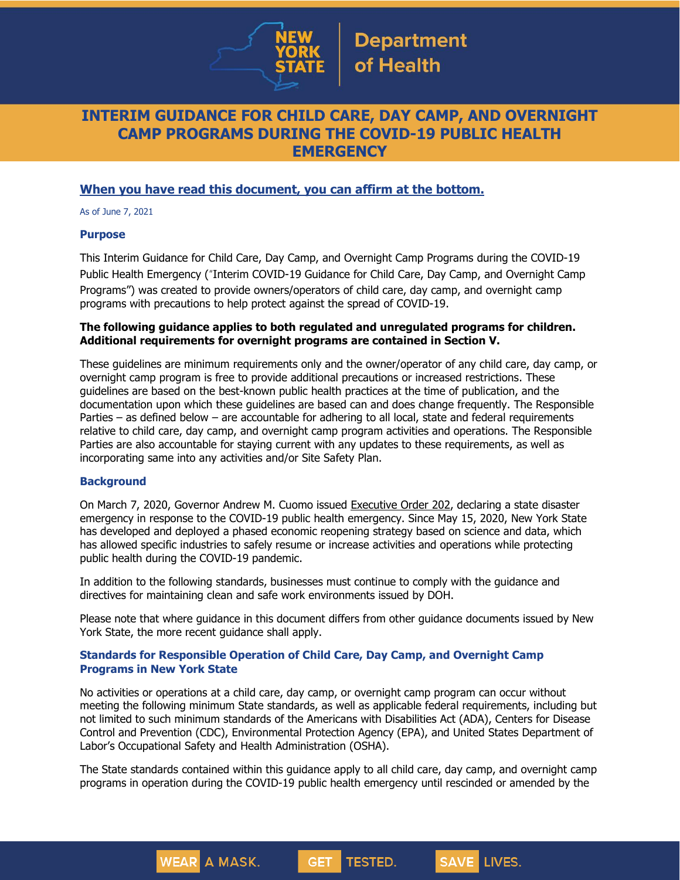

## **INTERIM GUIDANCE FOR CHILD CARE, DAY CAMP, AND OVERNIGHT CAMP PROGRAMS DURING THE COVID-19 PUBLIC HEALTH EMERGENCY**

## **When you have read this document, you can affirm at the bottom.**

As of June 7, 2021

#### **Purpose**

This Interim Guidance for Child Care, Day Camp, and Overnight Camp Programs during the COVID-19 Public Health Emergency ("Interim COVID-19 Guidance for Child Care, Day Camp, and Overnight Camp Programs") was created to provide owners/operators of child care, day camp, and overnight camp programs with precautions to help protect against the spread of COVID-19.

### **The following guidance applies to both regulated and unregulated programs for children. Additional requirements for overnight programs are contained in Section V.**

These guidelines are minimum requirements only and the owner/operator of any child care, day camp, or overnight camp program is free to provide additional precautions or increased restrictions. These guidelines are based on the best-known public health practices at the time of publication, and the documentation upon which these guidelines are based can and does change frequently. The Responsible Parties – as defined below – are accountable for adhering to all local, state and federal requirements relative to child care, day camp, and overnight camp program activities and operations. The Responsible Parties are also accountable for staying current with any updates to these requirements, as well as incorporating same into any activities and/or Site Safety Plan.

## **Background**

On March 7, 2020, Governor Andrew M. Cuomo issued [Executive](https://www.governor.ny.gov/news/no-202-declaring-disaster-emergency-state-new-york) Order 202, declaring a state disaster emergency in response to the COVID-19 public health emergency. Since May 15, 2020, New York State has developed and deployed a phased economic reopening strategy based on science and data, which has allowed specific industries to safely resume or increase activities and operations while protecting public health during the COVID-19 pandemic.

In addition to the following standards, businesses must continue to comply with the guidance and directives for maintaining clean and safe work environments issued by DOH.

Please note that where guidance in this document differs from other guidance documents issued by New York State, the more recent guidance shall apply.

## **Standards for Responsible Operation of Child Care, Day Camp, and Overnight Camp Programs in New York State**

**WEAR** A MASK.

No activities or operations at a child care, day camp, or overnight camp program can occur without meeting the following minimum State standards, as well as applicable federal requirements, including but not limited to such minimum standards of the Americans with Disabilities Act (ADA), Centers for Disease Control and Prevention (CDC), Environmental Protection Agency (EPA), and United States Department of Labor's Occupational Safety and Health Administration (OSHA).

The State standards contained within this guidance apply to all child care, day camp, and overnight camp programs in operation during the COVID-19 public health emergency until rescinded or amended by the

**GET** 

TESTED.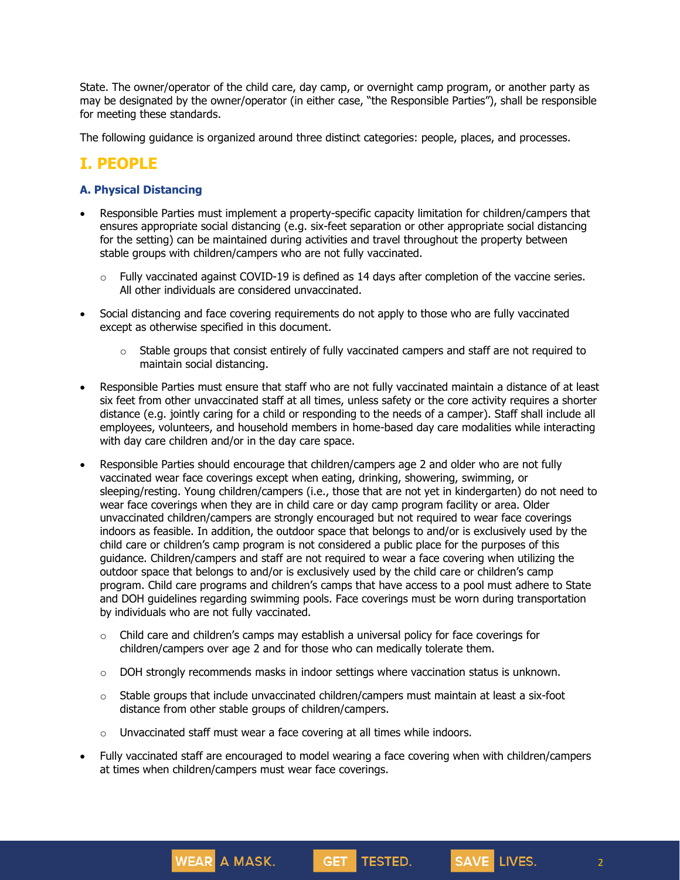State. The owner/operator of the child care, day camp, or overnight camp program, or another party as may be designated by the owner/operator (in either case, "the Responsible Parties"), shall be responsible for meeting these standards.

The following guidance is organized around three distinct categories: people, places, and processes.

# **I. PEOPLE**

## **A. Physical Distancing**

- Responsible Parties must implement a property-specific capacity limitation for children/campers that ensures appropriate social distancing (e.g. six-feet separation or other appropriate social distancing for the setting) can be maintained during activities and travel throughout the property between stable groups with children/campers who are not fully vaccinated.
	- $\circ$  Fully vaccinated against COVID-19 is defined as 14 days after completion of the vaccine series. All other individuals are considered unvaccinated.
- Social distancing and face covering requirements do not apply to those who are fully vaccinated except as otherwise specified in this document.
	- $\circ$  Stable groups that consist entirely of fully vaccinated campers and staff are not required to maintain social distancing.
- Responsible Parties must ensure that staff who are not fully vaccinated maintain a distance of at least six feet from other unvaccinated staff at all times, unless safety or the core activity requires a shorter distance (e.g. jointly caring for a child or responding to the needs of a camper). Staff shall include all employees, volunteers, and household members in home-based day care modalities while interacting with day care children and/or in the day care space.
- Responsible Parties should encourage that children/campers age 2 and older who are not fully vaccinated wear face coverings except when eating, drinking, showering, swimming, or sleeping/resting. Young children/campers (i.e., those that are not yet in kindergarten) do not need to wear face coverings when they are in child care or day camp program facility or area. Older unvaccinated children/campers are strongly encouraged but not required to wear face coverings indoors as feasible. In addition, the outdoor space that belongs to and/or is exclusively used by the child care or children's camp program is not considered a public place for the purposes of this guidance. Children/campers and staff are not required to wear a face covering when utilizing the outdoor space that belongs to and/or is exclusively used by the child care or children's camp program. Child care programs and children's camps that have access to a pool must adhere to State and DOH guidelines regarding swimming pools. Face coverings must be worn during transportation by individuals who are not fully vaccinated.
	- o Child care and children's camps may establish a universal policy for face coverings for children/campers over age 2 and for those who can medically tolerate them.
	- o DOH strongly recommends masks in indoor settings where vaccination status is unknown.
	- $\circ$  Stable groups that include unvaccinated children/campers must maintain at least a six-foot distance from other stable groups of children/campers.
	- o Unvaccinated staff must wear a face covering at all times while indoors.

**WEAR A MASK.** 

 Fully vaccinated staff are encouraged to model wearing a face covering when with children/campers at times when children/campers must wear face coverings.

**GET** 

TESTED.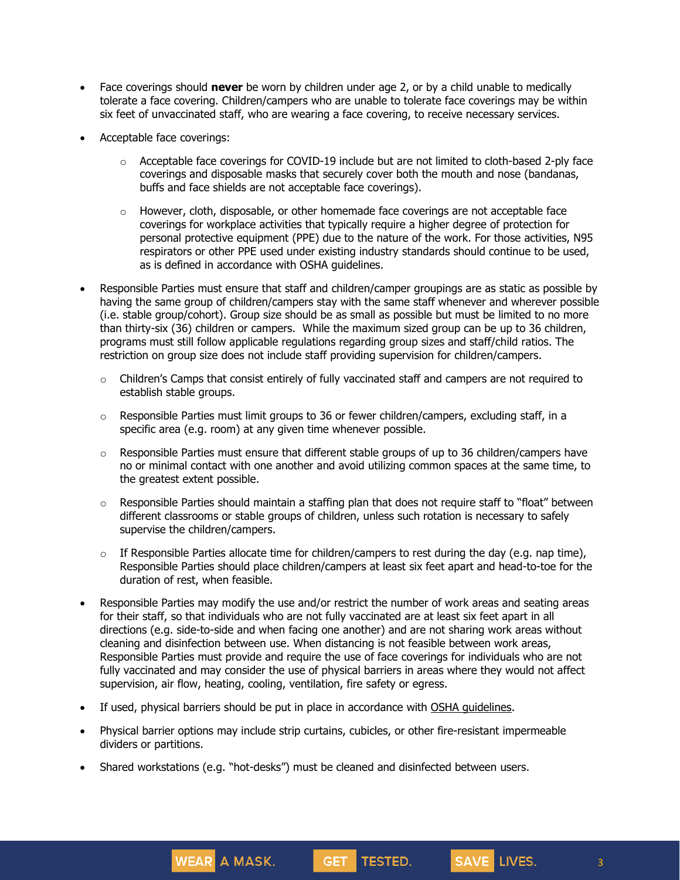- Face coverings should **never** be worn by children under age 2, or by a child unable to medically tolerate a face covering. Children/campers who are unable to tolerate face coverings may be within six feet of unvaccinated staff, who are wearing a face covering, to receive necessary services.
- Acceptable face coverings:
	- $\circ$  Acceptable face coverings for COVID-19 include but are not limited to cloth-based 2-ply face coverings and disposable masks that securely cover both the mouth and nose (bandanas, buffs and face shields are not acceptable face coverings).
	- $\circ$  However, cloth, disposable, or other homemade face coverings are not acceptable face coverings for workplace activities that typically require a higher degree of protection for personal protective equipment (PPE) due to the nature of the work. For those activities, N95 respirators or other PPE used under existing industry standards should continue to be used, as is defined in accordance with OSHA guidelines.
- Responsible Parties must ensure that staff and children/camper groupings are as static as possible by having the same group of children/campers stay with the same staff whenever and wherever possible (i.e. stable group/cohort). Group size should be as small as possible but must be limited to no more than thirty-six (36) children or campers. While the maximum sized group can be up to 36 children, programs must still follow applicable regulations regarding group sizes and staff/child ratios. The restriction on group size does not include staff providing supervision for children/campers.
	- $\circ$  Children's Camps that consist entirely of fully vaccinated staff and campers are not required to establish stable groups.
	- $\circ$  Responsible Parties must limit groups to 36 or fewer children/campers, excluding staff, in a specific area (e.g. room) at any given time whenever possible.
	- $\circ$  Responsible Parties must ensure that different stable groups of up to 36 children/campers have no or minimal contact with one another and avoid utilizing common spaces at the same time, to the greatest extent possible.
	- $\circ$  Responsible Parties should maintain a staffing plan that does not require staff to "float" between different classrooms or stable groups of children, unless such rotation is necessary to safely supervise the children/campers.
	- $\circ$  If Responsible Parties allocate time for children/campers to rest during the day (e.g. nap time), Responsible Parties should place children/campers at least six feet apart and head-to-toe for the duration of rest, when feasible.
- Responsible Parties may modify the use and/or restrict the number of work areas and seating areas for their staff, so that individuals who are not fully vaccinated are at least six feet apart in all directions (e.g. side-to-side and when facing one another) and are not sharing work areas without cleaning and disinfection between use. When distancing is not feasible between work areas, Responsible Parties must provide and require the use of face coverings for individuals who are not fully vaccinated and may consider the use of physical barriers in areas where they would not affect supervision, air flow, heating, cooling, ventilation, fire safety or egress.
- If used, physical barriers should be put in place in accordance with OSHA [guidelines.](https://www.osha.gov/coronavirus)
- Physical barrier options may include strip curtains, cubicles, or other fire-resistant impermeable dividers or partitions.

**GET** 

TESTED.

Shared workstations (e.g. "hot-desks") must be cleaned and disinfected between users.

**WEAR** A MASK.

3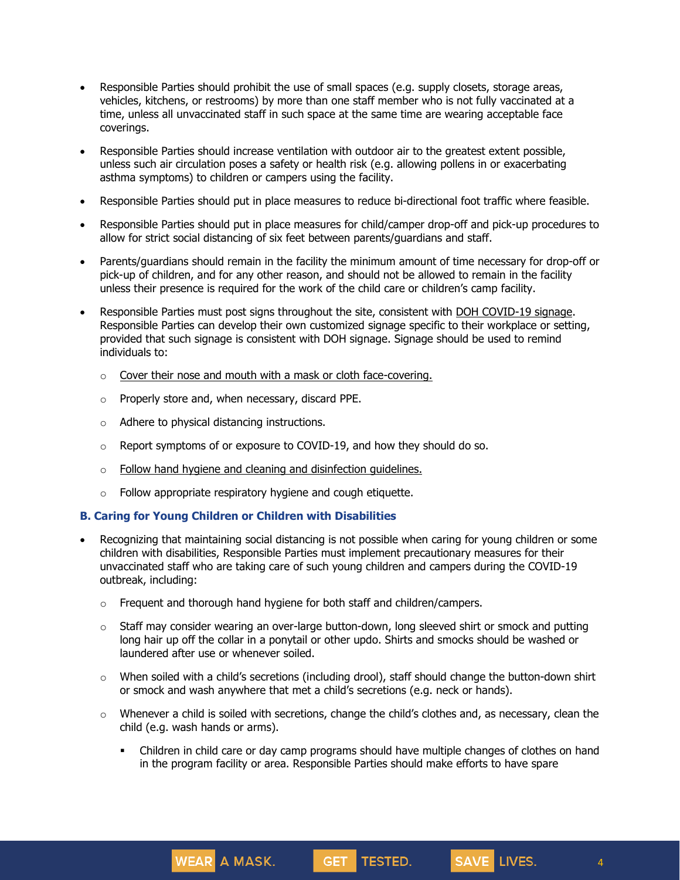- Responsible Parties should prohibit the use of small spaces (e.g. supply closets, storage areas, vehicles, kitchens, or restrooms) by more than one staff member who is not fully vaccinated at a time, unless all unvaccinated staff in such space at the same time are wearing acceptable face coverings.
- Responsible Parties should increase ventilation with outdoor air to the greatest extent possible, unless such air circulation poses a safety or health risk (e.g. allowing pollens in or exacerbating asthma symptoms) to children or campers using the facility.
- Responsible Parties should put in place measures to reduce bi-directional foot traffic where feasible.
- Responsible Parties should put in place measures for child/camper drop-off and pick-up procedures to allow for strict social distancing of six feet between parents/guardians and staff.
- Parents/guardians should remain in the facility the minimum amount of time necessary for drop-off or pick-up of children, and for any other reason, and should not be allowed to remain in the facility unless their presence is required for the work of the child care or children's camp facility.
- Responsible Parties must post signs throughout the site, consistent with DOH [COVID-19](https://coronavirus.health.ny.gov/system/files/documents/2020/04/13067_coronavirus_protectyourself_poster_042020.pdf) signage. Responsible Parties can develop their own customized signage specific to their workplace or setting, provided that such signage is consistent with DOH signage. Signage should be used to remind individuals to:
	- $\circ$  Cover their nose and mouth with a mask or cloth [face-covering.](https://coronavirus.health.ny.gov/system/files/documents/2020/05/13105_covid-19_facemasks_flyer_050420.pdf)
	- o Properly store and, when necessary, discard PPE.
	- o Adhere to physical distancing instructions.
	- $\circ$  Report symptoms of or exposure to COVID-19, and how they should do so.
	- o Follow hand hygiene and cleaning and [disinfection](https://health.ny.gov/publications/13197.pdf) guidelines.
	- $\circ$  Follow appropriate respiratory hygiene and cough etiquette.

## **B. Caring for Young Children or Children with Disabilities**

**WEAR A MASK.** 

- Recognizing that maintaining social distancing is not possible when caring for young children or some children with disabilities, Responsible Parties must implement precautionary measures for their unvaccinated staff who are taking care of such young children and campers during the COVID-19 outbreak, including:
	- $\circ$  Frequent and thorough hand hygiene for both staff and children/campers.
	- $\circ$  Staff may consider wearing an over-large button-down, long sleeved shirt or smock and putting long hair up off the collar in a ponytail or other updo. Shirts and smocks should be washed or laundered after use or whenever soiled.
	- $\circ$  When soiled with a child's secretions (including drool), staff should change the button-down shirt or smock and wash anywhere that met a child's secretions (e.g. neck or hands).
	- $\circ$  Whenever a child is soiled with secretions, change the child's clothes and, as necessary, clean the child (e.g. wash hands or arms).
		- Children in child care or day camp programs should have multiple changes of clothes on hand in the program facility or area. Responsible Parties should make efforts to have spare

GET TESTED.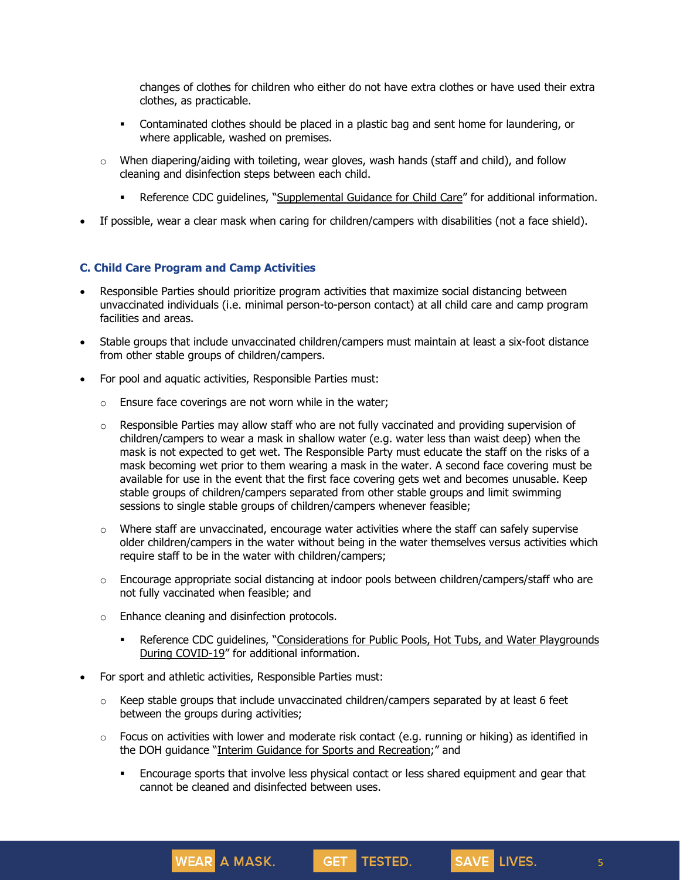changes of clothes for children who either do not have extra clothes or have used their extra clothes, as practicable.

- Contaminated clothes should be placed in a plastic bag and sent home for laundering, or where applicable, washed on premises.
- $\circ$  When diapering/aiding with toileting, wear gloves, wash hands (staff and child), and follow cleaning and disinfection steps between each child.
	- Reference CDC guidelines, "[Supplemental](https://www.cdc.gov/coronavirus/2019-ncov/community/schools-childcare/guidance-for-childcare.html) Guidance for Child Care" for additional information.
- If possible, wear a clear mask when caring for children/campers with disabilities (not a face shield).

#### **C. Child Care Program and Camp Activities**

- Responsible Parties should prioritize program activities that maximize social distancing between unvaccinated individuals (i.e. minimal person-to-person contact) at all child care and camp program facilities and areas.
- Stable groups that include unvaccinated children/campers must maintain at least a six-foot distance from other stable groups of children/campers.
- For pool and aquatic activities, Responsible Parties must:
	- $\circ$  Ensure face coverings are not worn while in the water;
	- $\circ$  Responsible Parties may allow staff who are not fully vaccinated and providing supervision of children/campers to wear a mask in shallow water (e.g. water less than waist deep) when the mask is not expected to get wet. The Responsible Party must educate the staff on the risks of a mask becoming wet prior to them wearing a mask in the water. A second face covering must be available for use in the event that the first face covering gets wet and becomes unusable. Keep stable groups of children/campers separated from other stable groups and limit swimming sessions to single stable groups of children/campers whenever feasible;
	- $\circ$  Where staff are unvaccinated, encourage water activities where the staff can safely supervise older children/campers in the water without being in the water themselves versus activities which require staff to be in the water with children/campers;
	- $\circ$  Encourage appropriate social distancing at indoor pools between children/campers/staff who are not fully vaccinated when feasible; and
	- o Enhance cleaning and disinfection protocols.
		- **Reference CDC guidelines, "[Considerations](https://www.cdc.gov/coronavirus/2019-ncov/community/parks-rec/aquatic-venues.html) for Public Pools, Hot Tubs, and Water Playgrounds** During [COVID-19](https://www.cdc.gov/coronavirus/2019-ncov/community/parks-rec/aquatic-venues.html)" for additional information.
- For sport and athletic activities, Responsible Parties must:

**WEAR** A MASK.

- $\circ$  Keep stable groups that include unvaccinated children/campers separated by at least 6 feet between the groups during activities;
- $\circ$  Focus on activities with lower and moderate risk contact (e.g. running or hiking) as identified in the DOH guidance "Interim Guidance for Sports and [Recreation](https://www.governor.ny.gov/sites/governor.ny.gov/files/atoms/files/SportsAndRecreationMasterGuidance.pdf);" and
	- Encourage sports that involve less physical contact or less shared equipment and gear that cannot be cleaned and disinfected between uses.

GET TESTED.

5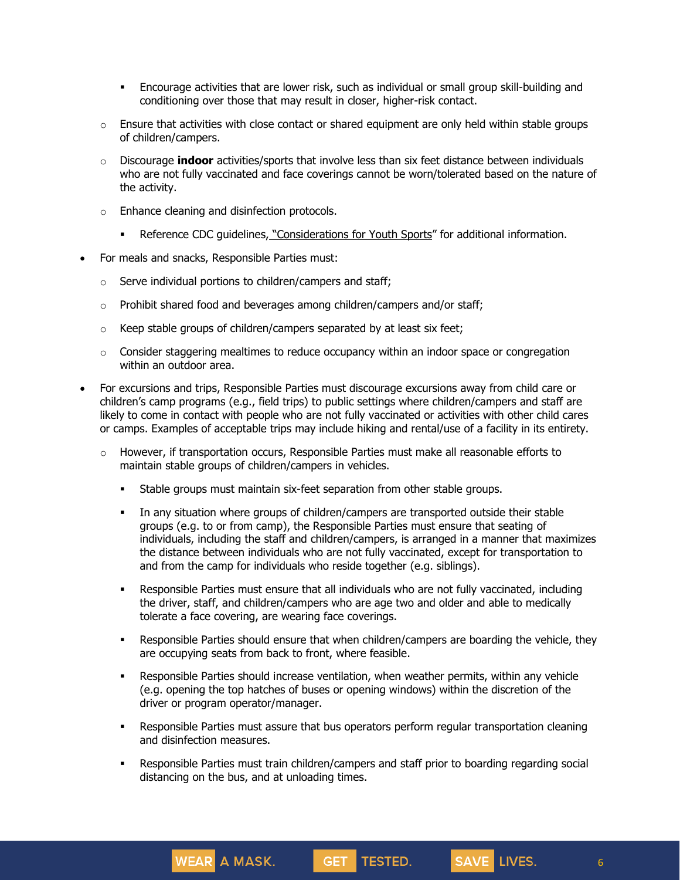- Encourage activities that are lower risk, such as individual or small group skill-building and conditioning over those that may result in closer, higher-risk contact.
- $\circ$  Ensure that activities with close contact or shared equipment are only held within stable groups of children/campers.
- o Discourage **indoor** activities/sports that involve less than six feet distance between individuals who are not fully vaccinated and face coverings cannot be worn/tolerated based on the nature of the activity.
- o Enhance cleaning and disinfection protocols.

- Reference CDC guidelines, "[Considerations](https://www.cdc.gov/coronavirus/2019-ncov/community/schools-childcare/youth-sports.html) for Youth Sports" for additional information.
- For meals and snacks, Responsible Parties must:
	- o Serve individual portions to children/campers and staff;
	- $\circ$  Prohibit shared food and beverages among children/campers and/or staff;
	- $\circ$  Keep stable groups of children/campers separated by at least six feet;
	- $\circ$  Consider staggering mealtimes to reduce occupancy within an indoor space or congregation within an outdoor area.
- For excursions and trips, Responsible Parties must discourage excursions away from child care or children's camp programs (e.g., field trips) to public settings where children/campers and staff are likely to come in contact with people who are not fully vaccinated or activities with other child cares or camps. Examples of acceptable trips may include hiking and rental/use of a facility in its entirety.
	- o However, if transportation occurs, Responsible Parties must make all reasonable efforts to maintain stable groups of children/campers in vehicles.
		- Stable groups must maintain six-feet separation from other stable groups.
		- In any situation where groups of children/campers are transported outside their stable groups (e.g. to or from camp), the Responsible Parties must ensure that seating of individuals, including the staff and children/campers, is arranged in a manner that maximizes the distance between individuals who are not fully vaccinated, except for transportation to and from the camp for individuals who reside together (e.g. siblings).
		- Responsible Parties must ensure that all individuals who are not fully vaccinated, including the driver, staff, and children/campers who are age two and older and able to medically tolerate a face covering, are wearing face coverings.
		- Responsible Parties should ensure that when children/campers are boarding the vehicle, they are occupying seats from back to front, where feasible.
		- Responsible Parties should increase ventilation, when weather permits, within any vehicle (e.g. opening the top hatches of buses or opening windows) within the discretion of the driver or program operator/manager.
		- Responsible Parties must assure that bus operators perform regular transportation cleaning and disinfection measures.
		- Responsible Parties must train children/campers and staff prior to boarding regarding social distancing on the bus, and at unloading times.

GET TESTED.

6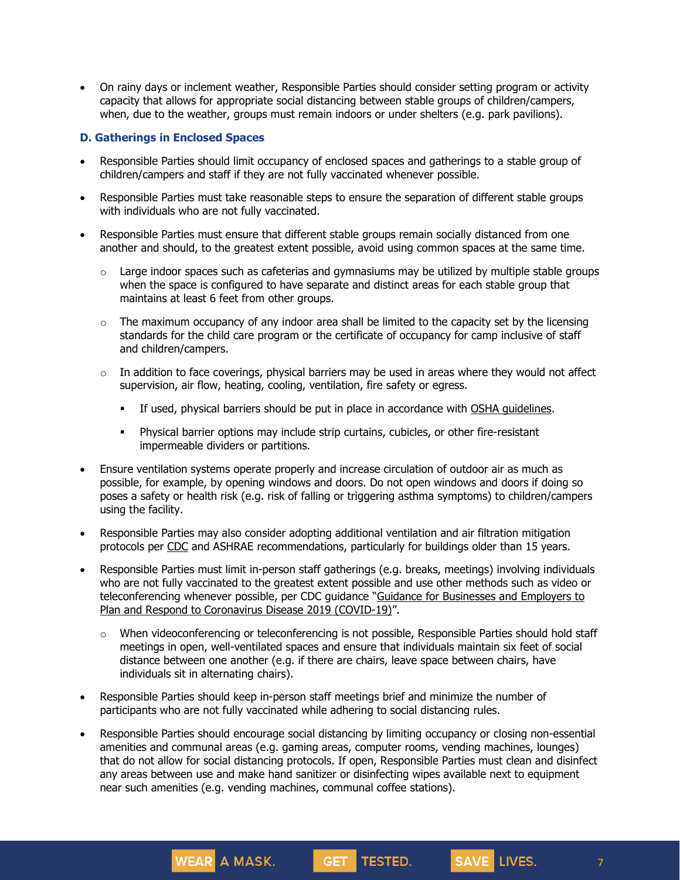On rainy days or inclement weather, Responsible Parties should consider setting program or activity capacity that allows for appropriate social distancing between stable groups of children/campers, when, due to the weather, groups must remain indoors or under shelters (e.g. park pavilions).

## **D. Gatherings in Enclosed Spaces**

- Responsible Parties should limit occupancy of enclosed spaces and gatherings to a stable group of children/campers and staff if they are not fully vaccinated whenever possible.
- Responsible Parties must take reasonable steps to ensure the separation of different stable groups with individuals who are not fully vaccinated.
- Responsible Parties must ensure that different stable groups remain socially distanced from one another and should, to the greatest extent possible, avoid using common spaces at the same time.
	- $\circ$  Large indoor spaces such as cafeterias and gymnasiums may be utilized by multiple stable groups when the space is configured to have separate and distinct areas for each stable group that maintains at least 6 feet from other groups.
	- $\circ$  The maximum occupancy of any indoor area shall be limited to the capacity set by the licensing standards for the child care program or the certificate of occupancy for camp inclusive of staff and children/campers.
	- $\circ$  In addition to face coverings, physical barriers may be used in areas where they would not affect supervision, air flow, heating, cooling, ventilation, fire safety or egress.
		- If used, physical barriers should be put in place in accordance with OSHA [guidelines.](https://www.osha.gov/coronavirus)
		- Physical barrier options may include strip curtains, cubicles, or other fire-resistant impermeable dividers or partitions.
- Ensure ventilation systems operate properly and increase circulation of outdoor air as much as possible, for example, by opening windows and doors. Do not open windows and doors if doing so poses a safety or health risk (e.g. risk of falling or triggering asthma symptoms) to children/campers using the facility.
- Responsible Parties may also consider adopting additional ventilation and air filtration mitigation protocols per [CDC](https://www.cdc.gov/coronavirus/2019-ncov/community/ventilation.html) and ASHRAE recommendations, particularly for buildings older than 15 years.
- Responsible Parties must limit in-person staff gatherings (e.g. breaks, meetings) involving individuals who are not fully vaccinated to the greatest extent possible and use other methods such as video or teleconferencing whenever possible, per CDC guidance "Guidance for [Businesses](https://www.cdc.gov/coronavirus/2019-ncov/community/guidance-business-response.html) and Employers to Plan and Respond to [Coronavirus](https://www.cdc.gov/coronavirus/2019-ncov/community/guidance-business-response.html) Disease 2019 (COVID-19)".
	- $\circ$  When videoconferencing or teleconferencing is not possible, Responsible Parties should hold staff meetings in open, well-ventilated spaces and ensure that individuals maintain six feet of social distance between one another (e.g. if there are chairs, leave space between chairs, have individuals sit in alternating chairs).
- Responsible Parties should keep in-person staff meetings brief and minimize the number of participants who are not fully vaccinated while adhering to social distancing rules.

**WEAR** A MASK.

 Responsible Parties should encourage social distancing by limiting occupancy or closing non-essential amenities and communal areas (e.g. gaming areas, computer rooms, vending machines, lounges) that do not allow for social distancing protocols. If open, Responsible Parties must clean and disinfect any areas between use and make hand sanitizer or disinfecting wipes available next to equipment near such amenities (e.g. vending machines, communal coffee stations).

**GET** 

TESTED.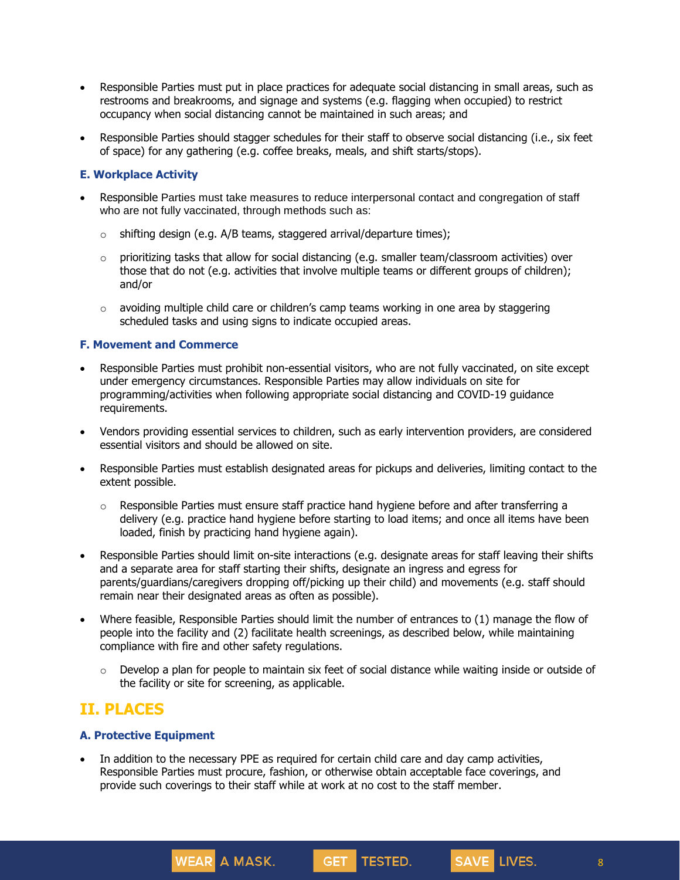- Responsible Parties must put in place practices for adequate social distancing in small areas, such as restrooms and breakrooms, and signage and systems (e.g. flagging when occupied) to restrict occupancy when social distancing cannot be maintained in such areas; and
- Responsible Parties should stagger schedules for their staff to observe social distancing (i.e., six feet of space) for any gathering (e.g. coffee breaks, meals, and shift starts/stops).

## **E. Workplace Activity**

- Responsible Parties must take measures to reduce interpersonal contact and congregation of staff who are not fully vaccinated, through methods such as:
	- $\circ$  shifting design (e.g. A/B teams, staggered arrival/departure times);
	- $\circ$  prioritizing tasks that allow for social distancing (e.g. smaller team/classroom activities) over those that do not (e.g. activities that involve multiple teams or different groups of children); and/or
	- $\circ$  avoiding multiple child care or children's camp teams working in one area by staggering scheduled tasks and using signs to indicate occupied areas.

#### **F. Movement and Commerce**

- Responsible Parties must prohibit non-essential visitors, who are not fully vaccinated, on site except under emergency circumstances. Responsible Parties may allow individuals on site for programming/activities when following appropriate social distancing and COVID-19 guidance requirements.
- Vendors providing essential services to children, such as early intervention providers, are considered essential visitors and should be allowed on site.
- Responsible Parties must establish designated areas for pickups and deliveries, limiting contact to the extent possible.
	- $\circ$  Responsible Parties must ensure staff practice hand hygiene before and after transferring a delivery (e.g. practice hand hygiene before starting to load items; and once all items have been loaded, finish by practicing hand hygiene again).
- Responsible Parties should limit on-site interactions (e.g. designate areas for staff leaving their shifts and a separate area for staff starting their shifts, designate an ingress and egress for parents/guardians/caregivers dropping off/picking up their child) and movements (e.g. staff should remain near their designated areas as often as possible).
- Where feasible, Responsible Parties should limit the number of entrances to (1) manage the flow of people into the facility and (2) facilitate health screenings, as described below, while maintaining compliance with fire and other safety regulations.
	- $\circ$  Develop a plan for people to maintain six feet of social distance while waiting inside or outside of the facility or site for screening, as applicable.

GET TESTED.

## **II. PLACES**

#### **A. Protective Equipment**

 In addition to the necessary PPE as required for certain child care and day camp activities, Responsible Parties must procure, fashion, or otherwise obtain acceptable face coverings, and provide such coverings to their staff while at work at no cost to the staff member.

WEAR A MASK.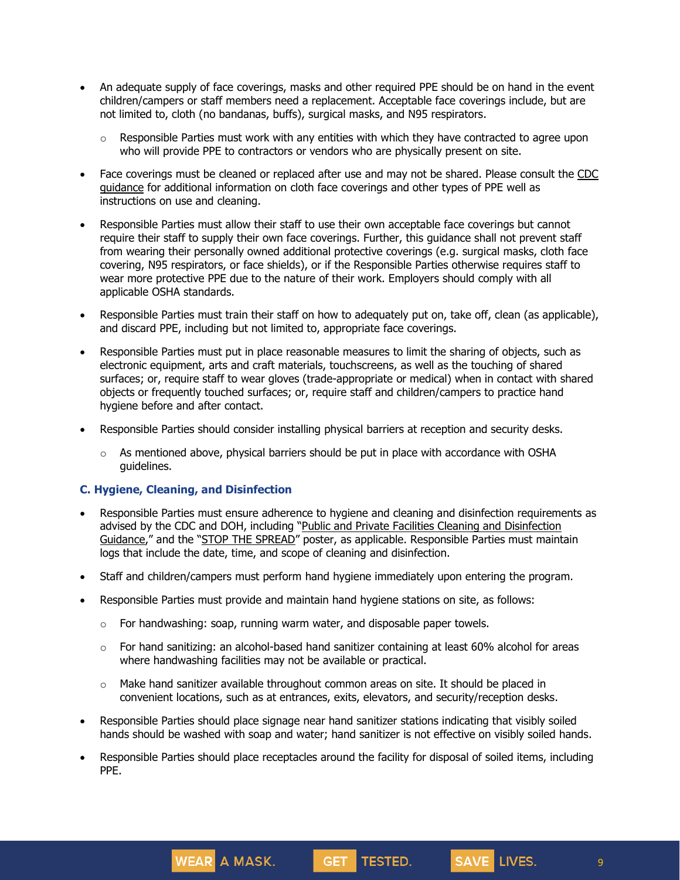- An adequate supply of face coverings, masks and other required PPE should be on hand in the event children/campers or staff members need a replacement. Acceptable face coverings include, but are not limited to, cloth (no bandanas, buffs), surgical masks, and N95 respirators.
	- $\circ$  Responsible Parties must work with any entities with which they have contracted to agree upon who will provide PPE to contractors or vendors who are physically present on site.
- Face coverings must be cleaned or replaced after use and may not be shared. Please consult the [CDC](https://www.cdc.gov/coronavirus/2019-ncov/community/guidance-business-response.html) [guidance](https://www.cdc.gov/coronavirus/2019-ncov/community/guidance-business-response.html) for additional information on cloth face coverings and other types of PPE well as instructions on use and cleaning.
- Responsible Parties must allow their staff to use their own acceptable face coverings but cannot require their staff to supply their own face coverings. Further, this guidance shall not prevent staff from wearing their personally owned additional protective coverings (e.g. surgical masks, cloth face covering, N95 respirators, or face shields), or if the Responsible Parties otherwise requires staff to wear more protective PPE due to the nature of their work. Employers should comply with all applicable OSHA standards.
- Responsible Parties must train their staff on how to adequately put on, take off, clean (as applicable), and discard PPE, including but not limited to, appropriate face coverings.
- Responsible Parties must put in place reasonable measures to limit the sharing of objects, such as electronic equipment, arts and craft materials, touchscreens, as well as the touching of shared surfaces; or, require staff to wear gloves (trade-appropriate or medical) when in contact with shared objects or frequently touched surfaces; or, require staff and children/campers to practice hand hygiene before and after contact.
- Responsible Parties should consider installing physical barriers at reception and security desks.
	- $\circ$  As mentioned above, physical barriers should be put in place with accordance with OSHA guidelines.

## **C. Hygiene, Cleaning, and Disinfection**

- Responsible Parties must ensure adherence to hygiene and cleaning and disinfection requirements as advised by the CDC and DOH, including "Public and Private Facilities Cleaning and [Disinfection](https://coronavirus.health.ny.gov/system/files/documents/2021/05/cleaning-and-disinfection-guidance-for-public-and-privatefacilities_051021.pdf) [Guidance](https://coronavirus.health.ny.gov/system/files/documents/2021/05/cleaning-and-disinfection-guidance-for-public-and-privatefacilities_051021.pdf)," and the "STOP THE [SPREAD](https://coronavirus.health.ny.gov/system/files/documents/2020/04/13067_coronavirus_protectyourself_poster_042020.pdf)" poster, as applicable. Responsible Parties must maintain logs that include the date, time, and scope of cleaning and disinfection.
- Staff and children/campers must perform hand hygiene immediately upon entering the program.
- Responsible Parties must provide and maintain hand hygiene stations on site, as follows:
	- $\circ$  For handwashing: soap, running warm water, and disposable paper towels.
	- $\circ$  For hand sanitizing: an alcohol-based hand sanitizer containing at least 60% alcohol for areas where handwashing facilities may not be available or practical.
	- $\circ$  Make hand sanitizer available throughout common areas on site. It should be placed in convenient locations, such as at entrances, exits, elevators, and security/reception desks.
- Responsible Parties should place signage near hand sanitizer stations indicating that visibly soiled hands should be washed with soap and water; hand sanitizer is not effective on visibly soiled hands.
- Responsible Parties should place receptacles around the facility for disposal of soiled items, including PPE.



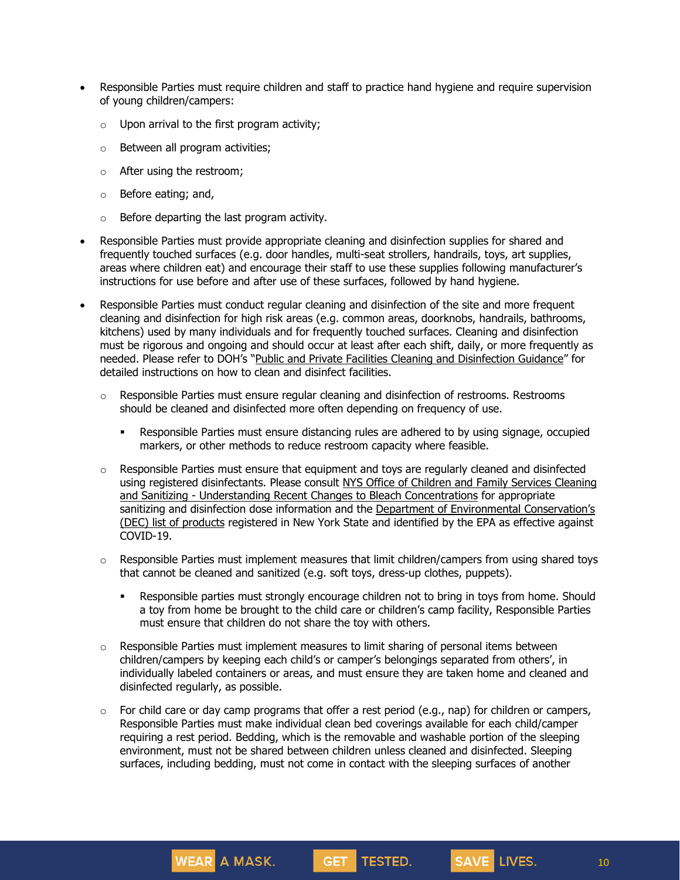- Responsible Parties must require children and staff to practice hand hygiene and require supervision of young children/campers:
	- $\circ$  Upon arrival to the first program activity;
	- o Between all program activities;
	- o After using the restroom;
	- o Before eating; and,
	- $\circ$  Before departing the last program activity.

- Responsible Parties must provide appropriate cleaning and disinfection supplies for shared and frequently touched surfaces (e.g. door handles, multi-seat strollers, handrails, toys, art supplies, areas where children eat) and encourage their staff to use these supplies following manufacturer's instructions for use before and after use of these surfaces, followed by hand hygiene.
- Responsible Parties must conduct regular cleaning and disinfection of the site and more frequent cleaning and disinfection for high risk areas (e.g. common areas, doorknobs, handrails, bathrooms, kitchens) used by many individuals and for frequently touched surfaces. Cleaning and disinfection must be rigorous and ongoing and should occur at least after each shift, daily, or more frequently as needed. Please refer to DOH's "Public and Private Facilities Cleaning and [Disinfection](https://coronavirus.health.ny.gov/system/files/documents/2021/05/cleaning-and-disinfection-guidance-for-public-and-privatefacilities_051021.pdf) Guidance" for detailed instructions on how to clean and disinfect facilities.
	- $\circ$  Responsible Parties must ensure regular cleaning and disinfection of restrooms. Restrooms should be cleaned and disinfected more often depending on frequency of use.
		- Responsible Parties must ensure distancing rules are adhered to by using signage, occupied markers, or other methods to reduce restroom capacity where feasible.
	- $\circ$  Responsible Parties must ensure that equipment and toys are regularly cleaned and disinfected using registered disinfectants. Please consult NYS Office of Children and Family Services [Cleaning](https://ocfs.ny.gov/main/childcare/assets/May%202013%20Understanding%20Recent%20Changes%20to%20Bleach.pdf) and Sanitizing - Understanding Recent Changes to Bleach [Concentrations](https://ocfs.ny.gov/main/childcare/assets/May%202013%20Understanding%20Recent%20Changes%20to%20Bleach.pdf) for appropriate sanitizing and disinfection dose information and the Department of Environmental [Conservation's](https://coronavirus.health.ny.gov/dec-list-products-disinfect-covid-19-0) (DEC) list of [products](https://coronavirus.health.ny.gov/dec-list-products-disinfect-covid-19-0) registered in New York State and identified by the EPA as effective against COVID-19.
	- $\circ$  Responsible Parties must implement measures that limit children/campers from using shared toys that cannot be cleaned and sanitized (e.g. soft toys, dress-up clothes, puppets).
		- Responsible parties must strongly encourage children not to bring in toys from home. Should a toy from home be brought to the child care or children's camp facility, Responsible Parties must ensure that children do not share the toy with others.
	- $\circ$  Responsible Parties must implement measures to limit sharing of personal items between children/campers by keeping each child's or camper's belongings separated from others', in individually labeled containers or areas, and must ensure they are taken home and cleaned and disinfected regularly, as possible.
	- $\circ$  For child care or day camp programs that offer a rest period (e.g., nap) for children or campers, Responsible Parties must make individual clean bed coverings available for each child/camper requiring a rest period. Bedding, which is the removable and washable portion of the sleeping environment, must not be shared between children unless cleaned and disinfected. Sleeping surfaces, including bedding, must not come in contact with the sleeping surfaces of another

**GET** 

TESTED.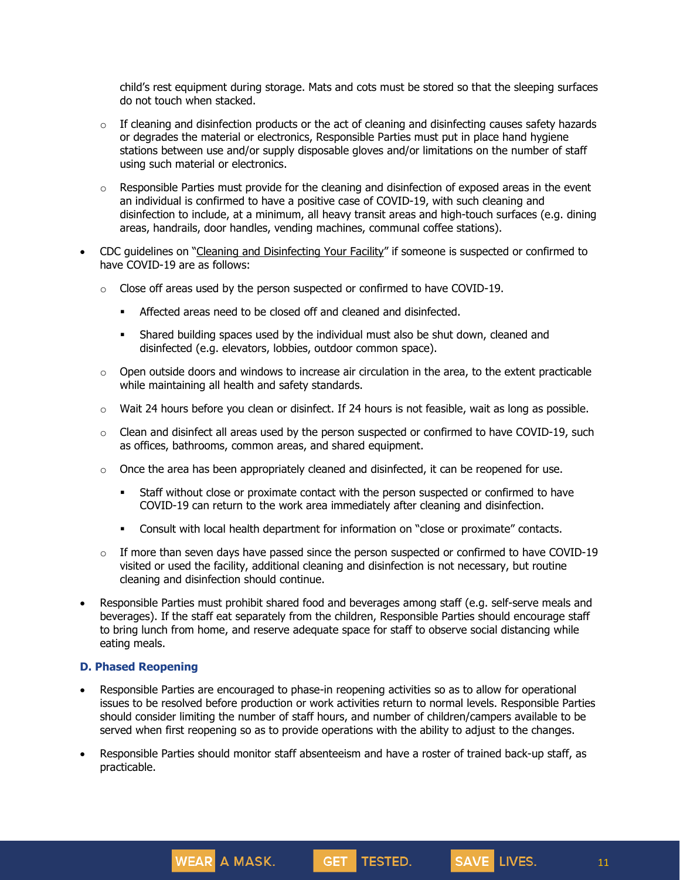child's rest equipment during storage. Mats and cots must be stored so that the sleeping surfaces do not touch when stacked.

- $\circ$  If cleaning and disinfection products or the act of cleaning and disinfecting causes safety hazards or degrades the material or electronics, Responsible Parties must put in place hand hygiene stations between use and/or supply disposable gloves and/or limitations on the number of staff using such material or electronics.
- $\circ$  Responsible Parties must provide for the cleaning and disinfection of exposed areas in the event an individual is confirmed to have a positive case of COVID-19, with such cleaning and disinfection to include, at a minimum, all heavy transit areas and high-touch surfaces (e.g. dining areas, handrails, door handles, vending machines, communal coffee stations).
- CDC guidelines on "Cleaning and [Disinfecting](https://www.cdc.gov/coronavirus/2019-ncov/community/disinfecting-building-facility.html) Your Facility" if someone is suspected or confirmed to have COVID-19 are as follows:
	- o Close off areas used by the person suspected or confirmed to have COVID-19.
		- **EXECTED Affected areas need to be closed off and cleaned and disinfected.**
		- Shared building spaces used by the individual must also be shut down, cleaned and disinfected (e.g. elevators, lobbies, outdoor common space).
	- $\circ$  Open outside doors and windows to increase air circulation in the area, to the extent practicable while maintaining all health and safety standards.
	- $\circ$  Wait 24 hours before you clean or disinfect. If 24 hours is not feasible, wait as long as possible.
	- $\circ$  Clean and disinfect all areas used by the person suspected or confirmed to have COVID-19, such as offices, bathrooms, common areas, and shared equipment.
	- $\circ$  Once the area has been appropriately cleaned and disinfected, it can be reopened for use.
		- Staff without close or proximate contact with the person suspected or confirmed to have COVID-19 can return to the work area immediately after cleaning and disinfection.
		- Consult with local health department for information on "close or proximate" contacts.
	- $\circ$  If more than seven days have passed since the person suspected or confirmed to have COVID-19 visited or used the facility, additional cleaning and disinfection is not necessary, but routine cleaning and disinfection should continue.
- Responsible Parties must prohibit shared food and beverages among staff (e.g. self-serve meals and beverages). If the staff eat separately from the children, Responsible Parties should encourage staff to bring lunch from home, and reserve adequate space for staff to observe social distancing while eating meals.

#### **D. Phased Reopening**

**WEAR** A MASK.

- Responsible Parties are encouraged to phase-in reopening activities so as to allow for operational issues to be resolved before production or work activities return to normal levels. Responsible Parties should consider limiting the number of staff hours, and number of children/campers available to be served when first reopening so as to provide operations with the ability to adjust to the changes.
- Responsible Parties should monitor staff absenteeism and have a roster of trained back-up staff, as practicable.

GET TESTED.

11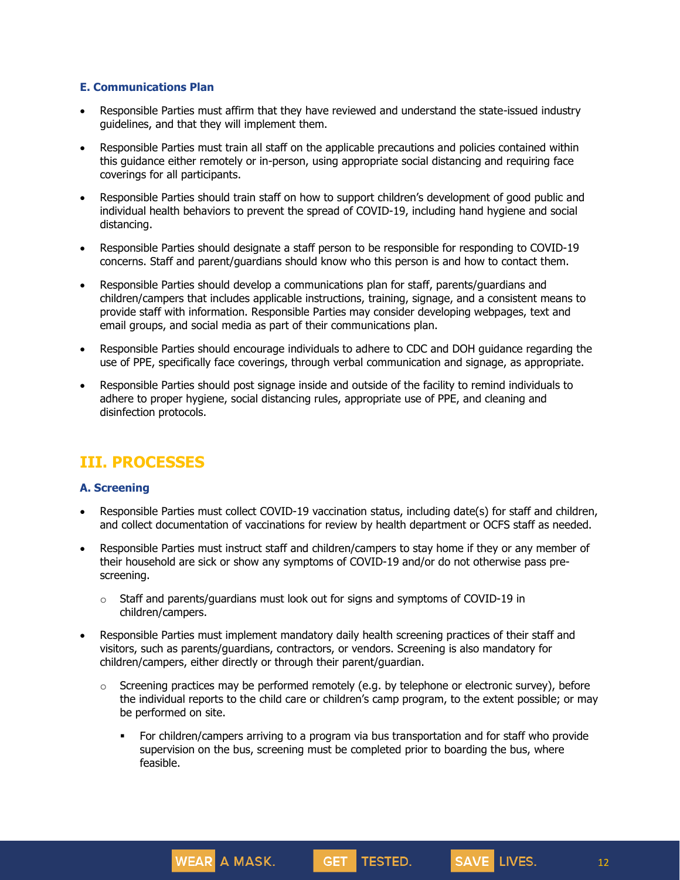#### **E. Communications Plan**

- Responsible Parties must affirm that they have reviewed and understand the state-issued industry guidelines, and that they will implement them.
- Responsible Parties must train all staff on the applicable precautions and policies contained within this guidance either remotely or in-person, using appropriate social distancing and requiring face coverings for all participants.
- Responsible Parties should train staff on how to support children's development of good public and individual health behaviors to prevent the spread of COVID-19, including hand hygiene and social distancing.
- Responsible Parties should designate a staff person to be responsible for responding to COVID-19 concerns. Staff and parent/guardians should know who this person is and how to contact them.
- Responsible Parties should develop a communications plan for staff, parents/guardians and children/campers that includes applicable instructions, training, signage, and a consistent means to provide staff with information. Responsible Parties may consider developing webpages, text and email groups, and social media as part of their communications plan.
- Responsible Parties should encourage individuals to adhere to CDC and DOH guidance regarding the use of PPE, specifically face coverings, through verbal communication and signage, as appropriate.
- Responsible Parties should post signage inside and outside of the facility to remind individuals to adhere to proper hygiene, social distancing rules, appropriate use of PPE, and cleaning and disinfection protocols.

## **III. PROCESSES**

## **A. Screening**

- Responsible Parties must collect COVID-19 vaccination status, including date(s) for staff and children, and collect documentation of vaccinations for review by health department or OCFS staff as needed.
- Responsible Parties must instruct staff and children/campers to stay home if they or any member of their household are sick or show any symptoms of COVID-19 and/or do not otherwise pass prescreening.
	- $\circ$  Staff and parents/guardians must look out for signs and symptoms of COVID-19 in children/campers.

WEAR A MASK.

- Responsible Parties must implement mandatory daily health screening practices of their staff and visitors, such as parents/guardians, contractors, or vendors. Screening is also mandatory for children/campers, either directly or through their parent/guardian.
	- $\circ$  Screening practices may be performed remotely (e.g. by telephone or electronic survey), before the individual reports to the child care or children's camp program, to the extent possible; or may be performed on site.
		- For children/campers arriving to a program via bus transportation and for staff who provide supervision on the bus, screening must be completed prior to boarding the bus, where feasible.

GET TESTED.

12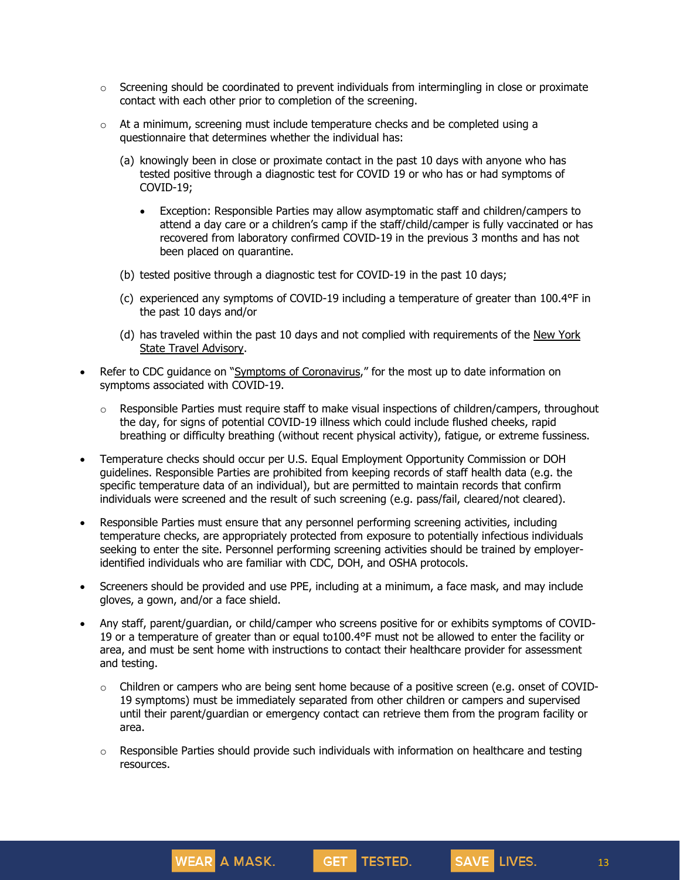- $\circ$  Screening should be coordinated to prevent individuals from intermingling in close or proximate contact with each other prior to completion of the screening.
- $\circ$  At a minimum, screening must include temperature checks and be completed using a questionnaire that determines whether the individual has:
	- (a) knowingly been in close or proximate contact in the past 10 days with anyone who has tested positive through a diagnostic test for COVID 19 or who has or had symptoms of COVID-19;
		- Exception: Responsible Parties may allow asymptomatic staff and children/campers to attend a day care or a children's camp if the staff/child/camper is fully vaccinated or has recovered from laboratory confirmed COVID-19 in the previous 3 months and has not been placed on quarantine.
	- (b) tested positive through a diagnostic test for COVID-19 in the past 10 days;
	- (c) experienced any symptoms of COVID-19 including a temperature of greater than 100.4°F in the past 10 days and/or
	- (d) has traveled within the past 10 days and not complied with requirements of the New [York](https://forward.ny.gov/covid-19-travel-advisory) State Travel [Advisory.](https://forward.ny.gov/covid-19-travel-advisory)
- Refer to CDC guidance on "Symptoms of [Coronavirus](https://www.cdc.gov/coronavirus/2019-ncov/symptoms-testing/symptoms.html)," for the most up to date information on symptoms associated with COVID-19.
	- $\circ$  Responsible Parties must require staff to make visual inspections of children/campers, throughout the day, for signs of potential COVID-19 illness which could include flushed cheeks, rapid breathing or difficulty breathing (without recent physical activity), fatigue, or extreme fussiness.
- Temperature checks should occur per U.S. Equal Employment Opportunity Commission or DOH guidelines. Responsible Parties are prohibited from keeping records of staff health data (e.g. the specific temperature data of an individual), but are permitted to maintain records that confirm individuals were screened and the result of such screening (e.g. pass/fail, cleared/not cleared).
- Responsible Parties must ensure that any personnel performing screening activities, including temperature checks, are appropriately protected from exposure to potentially infectious individuals seeking to enter the site. Personnel performing screening activities should be trained by employeridentified individuals who are familiar with CDC, DOH, and OSHA protocols.
- Screeners should be provided and use PPE, including at a minimum, a face mask, and may include gloves, a gown, and/or a face shield.
- Any staff, parent/guardian, or child/camper who screens positive for or exhibits symptoms of COVID-19 or a temperature of greater than or equal to100.4°F must not be allowed to enter the facility or area, and must be sent home with instructions to contact their healthcare provider for assessment and testing.
	- $\circ$  Children or campers who are being sent home because of a positive screen (e.g. onset of COVID-19 symptoms) must be immediately separated from other children or campers and supervised until their parent/guardian or emergency contact can retrieve them from the program facility or area.
	- $\circ$  Responsible Parties should provide such individuals with information on healthcare and testing resources.

GET TESTED.

**WEAR** A MASK.

13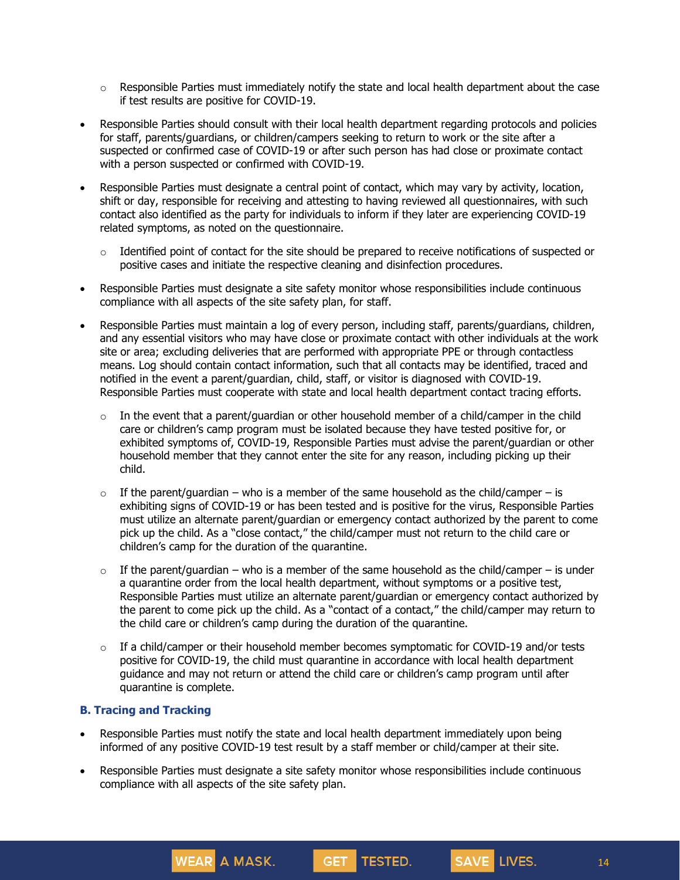- $\circ$  Responsible Parties must immediately notify the state and local health department about the case if test results are positive for COVID-19.
- Responsible Parties should consult with their local health department regarding protocols and policies for staff, parents/guardians, or children/campers seeking to return to work or the site after a suspected or confirmed case of COVID-19 or after such person has had close or proximate contact with a person suspected or confirmed with COVID-19.
- Responsible Parties must designate a central point of contact, which may vary by activity, location, shift or day, responsible for receiving and attesting to having reviewed all questionnaires, with such contact also identified as the party for individuals to inform if they later are experiencing COVID-19 related symptoms, as noted on the questionnaire.
	- $\circ$  Identified point of contact for the site should be prepared to receive notifications of suspected or positive cases and initiate the respective cleaning and disinfection procedures.
- Responsible Parties must designate a site safety monitor whose responsibilities include continuous compliance with all aspects of the site safety plan, for staff.
- Responsible Parties must maintain a log of every person, including staff, parents/guardians, children, and any essential visitors who may have close or proximate contact with other individuals at the work site or area; excluding deliveries that are performed with appropriate PPE or through contactless means. Log should contain contact information, such that all contacts may be identified, traced and notified in the event a parent/guardian, child, staff, or visitor is diagnosed with COVID-19. Responsible Parties must cooperate with state and local health department contact tracing efforts.
	- $\circ$  In the event that a parent/guardian or other household member of a child/camper in the child care or children's camp program must be isolated because they have tested positive for, or exhibited symptoms of, COVID-19, Responsible Parties must advise the parent/guardian or other household member that they cannot enter the site for any reason, including picking up their child.
	- $\circ$  If the parent/guardian who is a member of the same household as the child/camper is exhibiting signs of COVID-19 or has been tested and is positive for the virus, Responsible Parties must utilize an alternate parent/guardian or emergency contact authorized by the parent to come pick up the child. As a "close contact," the child/camper must not return to the child care or children's camp for the duration of the quarantine.
	- $\circ$  If the parent/guardian who is a member of the same household as the child/camper is under a quarantine order from the local health department, without symptoms or a positive test, Responsible Parties must utilize an alternate parent/guardian or emergency contact authorized by the parent to come pick up the child. As a "contact of a contact," the child/camper may return to the child care or children's camp during the duration of the quarantine.
	- $\circ$  If a child/camper or their household member becomes symptomatic for COVID-19 and/or tests positive for COVID-19, the child must quarantine in accordance with local health department guidance and may not return or attend the child care or children's camp program until after quarantine is complete.

## **B. Tracing and Tracking**

**WEAR** A MASK.

- Responsible Parties must notify the state and local health department immediately upon being informed of any positive COVID-19 test result by a staff member or child/camper at their site.
- Responsible Parties must designate a site safety monitor whose responsibilities include continuous compliance with all aspects of the site safety plan.

**GET** 

TESTED.

14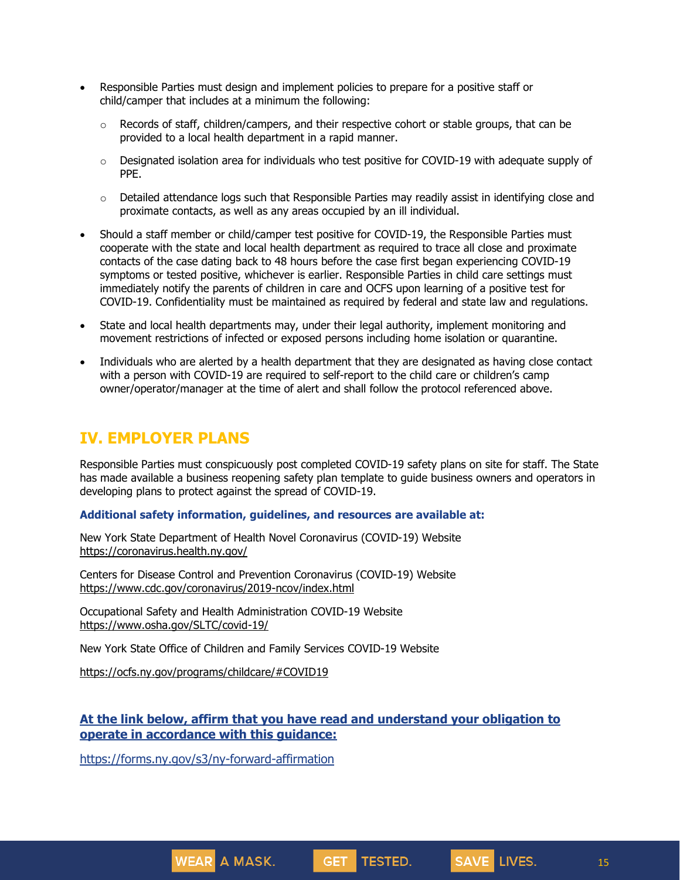- Responsible Parties must design and implement policies to prepare for a positive staff or child/camper that includes at a minimum the following:
	- $\circ$  Records of staff, children/campers, and their respective cohort or stable groups, that can be provided to a local health department in a rapid manner.
	- $\circ$  Designated isolation area for individuals who test positive for COVID-19 with adequate supply of PPE.
	- $\circ$  Detailed attendance logs such that Responsible Parties may readily assist in identifying close and proximate contacts, as well as any areas occupied by an ill individual.
- Should a staff member or child/camper test positive for COVID-19, the Responsible Parties must cooperate with the state and local health department as required to trace all close and proximate contacts of the case dating back to 48 hours before the case first began experiencing COVID-19 symptoms or tested positive, whichever is earlier. Responsible Parties in child care settings must immediately notify the parents of children in care and OCFS upon learning of a positive test for COVID-19. Confidentiality must be maintained as required by federal and state law and regulations.
- State and local health departments may, under their legal authority, implement monitoring and movement restrictions of infected or exposed persons including home isolation or quarantine.
- Individuals who are alerted by a health department that they are designated as having close contact with a person with COVID-19 are required to self-report to the child care or children's camp owner/operator/manager at the time of alert and shall follow the protocol referenced above.

## **IV. EMPLOYER PLANS**

Responsible Parties must conspicuously post completed COVID-19 safety plans on site for staff. The State has made available a business reopening safety plan template to guide business owners and operators in developing plans to protect against the spread of COVID-19.

#### **Additional safety information, guidelines, and resources are available at:**

New York State Department of Health Novel Coronavirus (COVID-19) Website <https://coronavirus.health.ny.gov/>

Centers for Disease Control and Prevention Coronavirus (COVID-19) Website <https://www.cdc.gov/coronavirus/2019-ncov/index.html>

Occupational Safety and Health Administration COVID-19 Website <https://www.osha.gov/SLTC/covid-19/>

New York State Office of Children and Family Services COVID-19 Website

<https://ocfs.ny.gov/programs/childcare/#COVID19>

## **At the link below, affirm that you have read and understand your obligation to operate in accordance with this guidance:**

GET TESTED.

<https://forms.ny.gov/s3/ny-forward-affirmation>

**WEAR** A MASK.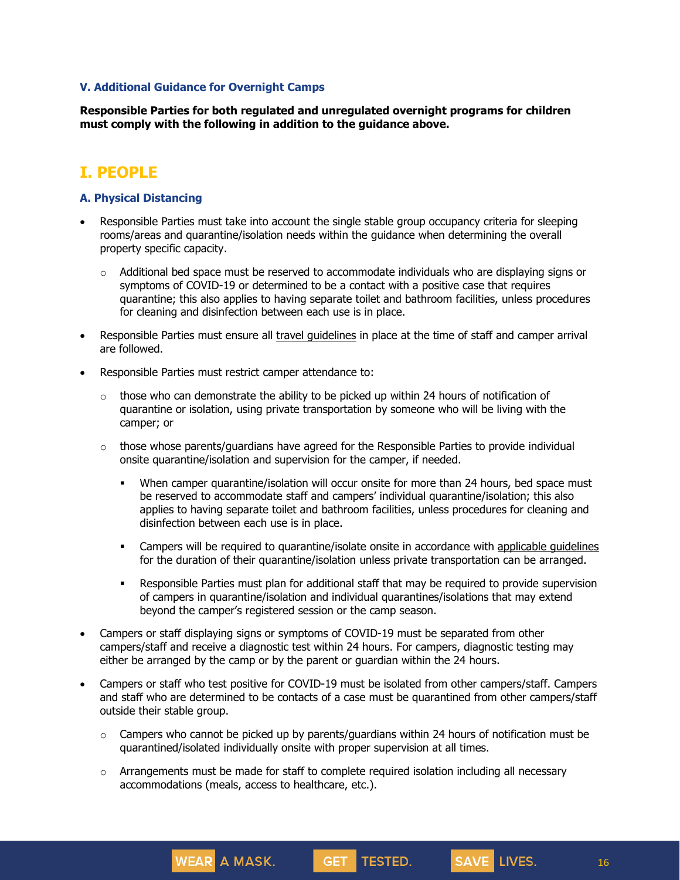#### **V. Additional Guidance for Overnight Camps**

**Responsible Parties for both regulated and unregulated overnight programs for children must comply with the following in addition to the guidance above.**

## **I. PEOPLE**

### **A. Physical Distancing**

- Responsible Parties must take into account the single stable group occupancy criteria for sleeping rooms/areas and quarantine/isolation needs within the guidance when determining the overall property specific capacity.
	- $\circ$  Additional bed space must be reserved to accommodate individuals who are displaying signs or symptoms of COVID-19 or determined to be a contact with a positive case that requires quarantine; this also applies to having separate toilet and bathroom facilities, unless procedures for cleaning and disinfection between each use is in place.
- Responsible Parties must ensure all travel [guidelines](https://coronavirus.health.ny.gov/covid-19-travel-advisory) in place at the time of staff and camper arrival are followed.
- Responsible Parties must restrict camper attendance to:

**WEAR** A MASK.

- $\circ$  those who can demonstrate the ability to be picked up within 24 hours of notification of quarantine or isolation, using private transportation by someone who will be living with the camper; or
- $\circ$  those whose parents/guardians have agreed for the Responsible Parties to provide individual onsite quarantine/isolation and supervision for the camper, if needed.
	- When camper quarantine/isolation will occur onsite for more than 24 hours, bed space must be reserved to accommodate staff and campers' individual quarantine/isolation; this also applies to having separate toilet and bathroom facilities, unless procedures for cleaning and disinfection between each use is in place.
	- Campers will be required to quarantine/isolate onsite in accordance with [applicable](https://coronavirus.health.ny.gov/system/files/documents/2020/03/quarantine_guidance_0.pdf) guidelines for the duration of their quarantine/isolation unless private transportation can be arranged.
	- Responsible Parties must plan for additional staff that may be required to provide supervision of campers in quarantine/isolation and individual quarantines/isolations that may extend beyond the camper's registered session or the camp season.
- Campers or staff displaying signs or symptoms of COVID-19 must be separated from other campers/staff and receive a diagnostic test within 24 hours. For campers, diagnostic testing may either be arranged by the camp or by the parent or guardian within the 24 hours.
- Campers or staff who test positive for COVID-19 must be isolated from other campers/staff. Campers and staff who are determined to be contacts of a case must be quarantined from other campers/staff outside their stable group.
	- $\circ$  Campers who cannot be picked up by parents/quardians within 24 hours of notification must be quarantined/isolated individually onsite with proper supervision at all times.
	- $\circ$  Arrangements must be made for staff to complete required isolation including all necessary accommodations (meals, access to healthcare, etc.).

**GET** 

TESTED.

16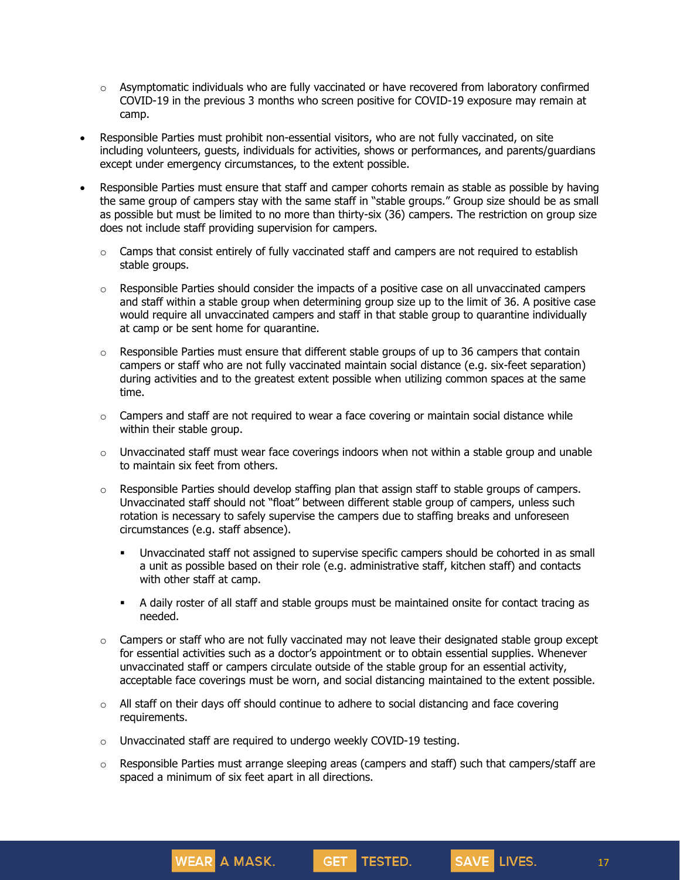- $\circ$  Asymptomatic individuals who are fully vaccinated or have recovered from laboratory confirmed COVID-19 in the previous 3 months who screen positive for COVID-19 exposure may remain at camp.
- Responsible Parties must prohibit non-essential visitors, who are not fully vaccinated, on site including volunteers, guests, individuals for activities, shows or performances, and parents/guardians except under emergency circumstances, to the extent possible.
- Responsible Parties must ensure that staff and camper cohorts remain as stable as possible by having the same group of campers stay with the same staff in "stable groups." Group size should be as small as possible but must be limited to no more than thirty-six (36) campers. The restriction on group size does not include staff providing supervision for campers.
	- $\circ$  Camps that consist entirely of fully vaccinated staff and campers are not required to establish stable groups.
	- $\circ$  Responsible Parties should consider the impacts of a positive case on all unvaccinated campers and staff within a stable group when determining group size up to the limit of 36. A positive case would require all unvaccinated campers and staff in that stable group to quarantine individually at camp or be sent home for quarantine.
	- $\circ$  Responsible Parties must ensure that different stable groups of up to 36 campers that contain campers or staff who are not fully vaccinated maintain social distance (e.g. six-feet separation) during activities and to the greatest extent possible when utilizing common spaces at the same time.
	- o Campers and staff are not required to wear a face covering or maintain social distance while within their stable group.
	- $\circ$  Unvaccinated staff must wear face coverings indoors when not within a stable group and unable to maintain six feet from others.
	- $\circ$  Responsible Parties should develop staffing plan that assign staff to stable groups of campers. Unvaccinated staff should not "float" between different stable group of campers, unless such rotation is necessary to safely supervise the campers due to staffing breaks and unforeseen circumstances (e.g. staff absence).
		- Unvaccinated staff not assigned to supervise specific campers should be cohorted in as small a unit as possible based on their role (e.g. administrative staff, kitchen staff) and contacts with other staff at camp.
		- A daily roster of all staff and stable groups must be maintained onsite for contact tracing as needed.
	- $\circ$  Campers or staff who are not fully vaccinated may not leave their designated stable group except for essential activities such as a doctor's appointment or to obtain essential supplies. Whenever unvaccinated staff or campers circulate outside of the stable group for an essential activity, acceptable face coverings must be worn, and social distancing maintained to the extent possible.
	- $\circ$  All staff on their days off should continue to adhere to social distancing and face covering requirements.
	- o Unvaccinated staff are required to undergo weekly COVID-19 testing.

o Responsible Parties must arrange sleeping areas (campers and staff) such that campers/staff are spaced a minimum of six feet apart in all directions.

**GET** 

**TESTED.** 

17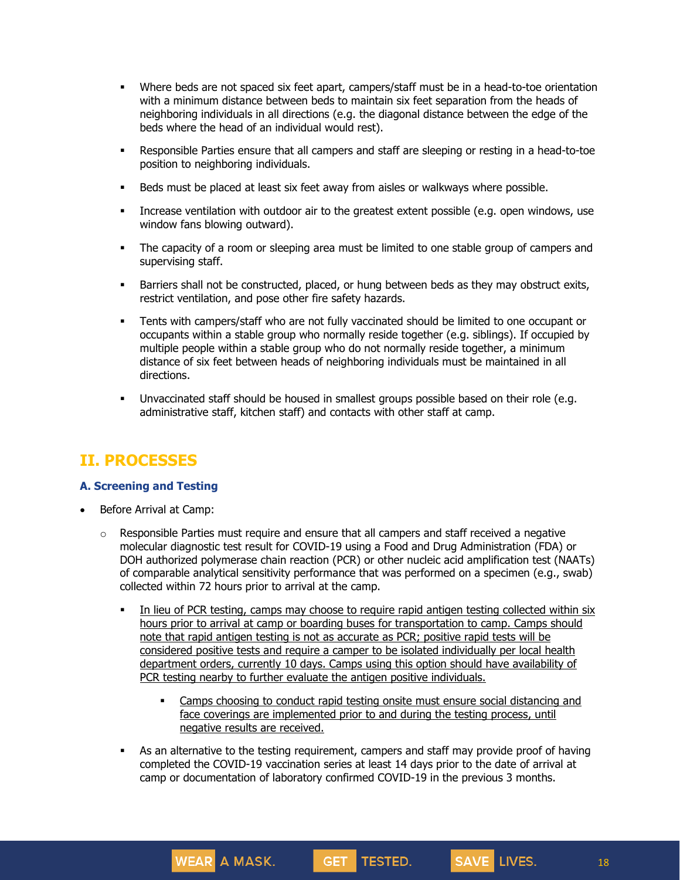- Where beds are not spaced six feet apart, campers/staff must be in a head-to-toe orientation with a minimum distance between beds to maintain six feet separation from the heads of neighboring individuals in all directions (e.g. the diagonal distance between the edge of the beds where the head of an individual would rest).
- Responsible Parties ensure that all campers and staff are sleeping or resting in a head-to-toe position to neighboring individuals.
- Beds must be placed at least six feet away from aisles or walkways where possible.
- Increase ventilation with outdoor air to the greatest extent possible (e.g. open windows, use window fans blowing outward).
- The capacity of a room or sleeping area must be limited to one stable group of campers and supervising staff.
- Barriers shall not be constructed, placed, or hung between beds as they may obstruct exits, restrict ventilation, and pose other fire safety hazards.
- Tents with campers/staff who are not fully vaccinated should be limited to one occupant or occupants within a stable group who normally reside together (e.g. siblings). If occupied by multiple people within a stable group who do not normally reside together, a minimum distance of six feet between heads of neighboring individuals must be maintained in all directions.
- Unvaccinated staff should be housed in smallest groups possible based on their role (e.g. administrative staff, kitchen staff) and contacts with other staff at camp.

## **II. PROCESSES**

## **A. Screening and Testing**

- Before Arrival at Camp:
	- $\circ$  Responsible Parties must require and ensure that all campers and staff received a negative molecular diagnostic test result for COVID-19 using a Food and Drug Administration (FDA) or DOH authorized polymerase chain reaction (PCR) or other nucleic acid amplification test (NAATs) of comparable analytical sensitivity performance that was performed on a specimen (e.g., swab) collected within 72 hours prior to arrival at the camp.
		- In lieu of PCR testing, camps may choose to require rapid antigen testing collected within six hours prior to arrival at camp or boarding buses for transportation to camp. Camps should note that rapid antigen testing is not as accurate as PCR; positive rapid tests will be considered positive tests and require a camper to be isolated individually per local health department orders, currently 10 days. Camps using this option should have availability of PCR testing nearby to further evaluate the antigen positive individuals.
			- Camps choosing to conduct rapid testing onsite must ensure social distancing and face coverings are implemented prior to and during the testing process, until negative results are received.

**GET TESTED.** 

 As an alternative to the testing requirement, campers and staff may provide proof of having completed the COVID-19 vaccination series at least 14 days prior to the date of arrival at camp or documentation of laboratory confirmed COVID-19 in the previous 3 months.

WEAR A MASK.

18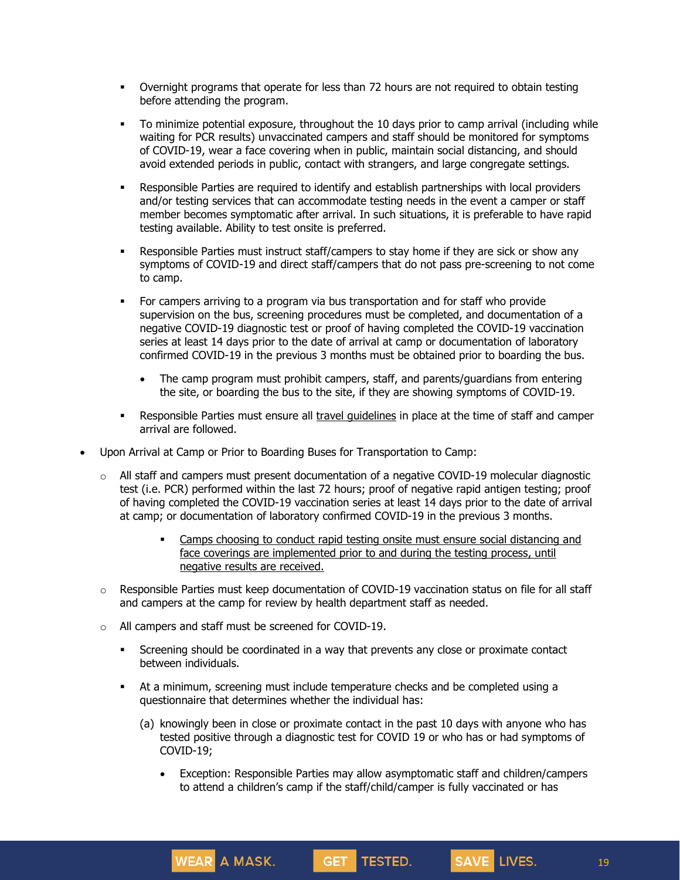- Overnight programs that operate for less than 72 hours are not required to obtain testing before attending the program.
- To minimize potential exposure, throughout the 10 days prior to camp arrival (including while waiting for PCR results) unvaccinated campers and staff should be monitored for symptoms of COVID-19, wear a face covering when in public, maintain social distancing, and should avoid extended periods in public, contact with strangers, and large congregate settings.
- Responsible Parties are required to identify and establish partnerships with local providers and/or testing services that can accommodate testing needs in the event a camper or staff member becomes symptomatic after arrival. In such situations, it is preferable to have rapid testing available. Ability to test onsite is preferred.
- Responsible Parties must instruct staff/campers to stay home if they are sick or show any symptoms of COVID-19 and direct staff/campers that do not pass pre-screening to not come to camp.
- For campers arriving to a program via bus transportation and for staff who provide supervision on the bus, screening procedures must be completed, and documentation of a negative COVID-19 diagnostic test or proof of having completed the COVID-19 vaccination series at least 14 days prior to the date of arrival at camp or documentation of laboratory confirmed COVID-19 in the previous 3 months must be obtained prior to boarding the bus.
	- The camp program must prohibit campers, staff, and parents/guardians from entering the site, or boarding the bus to the site, if they are showing symptoms of COVID-19.
- Responsible Parties must ensure all travel quidelines in place at the time of staff and camper arrival are followed.
- Upon Arrival at Camp or Prior to Boarding Buses for Transportation to Camp:
	- o All staff and campers must present documentation of a negative COVID-19 molecular diagnostic test (i.e. PCR) performed within the last 72 hours; proof of negative rapid antigen testing; proof of having completed the COVID-19 vaccination series at least 14 days prior to the date of arrival at camp; or documentation of laboratory confirmed COVID-19 in the previous 3 months.
		- Camps choosing to conduct rapid testing onsite must ensure social distancing and face coverings are implemented prior to and during the testing process, until negative results are received.
	- $\circ$  Responsible Parties must keep documentation of COVID-19 vaccination status on file for all staff and campers at the camp for review by health department staff as needed.
	- o All campers and staff must be screened for COVID-19.

- Screening should be coordinated in a way that prevents any close or proximate contact between individuals.
- At a minimum, screening must include temperature checks and be completed using a questionnaire that determines whether the individual has:
	- (a) knowingly been in close or proximate contact in the past 10 days with anyone who has tested positive through a diagnostic test for COVID 19 or who has or had symptoms of COVID-19;
		- Exception: Responsible Parties may allow asymptomatic staff and children/campers to attend a children's camp if the staff/child/camper is fully vaccinated or has

GET TESTED.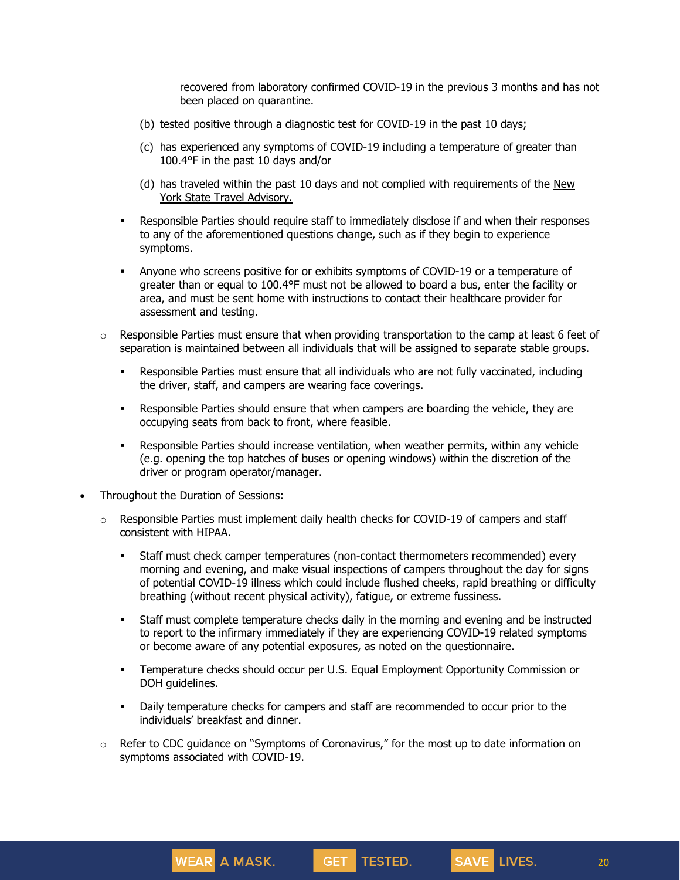recovered from laboratory confirmed COVID-19 in the previous 3 months and has not been placed on quarantine.

- (b) tested positive through a diagnostic test for COVID-19 in the past 10 days;
- (c) has experienced any symptoms of COVID-19 including a temperature of greater than 100.4°F in the past 10 days and/or
- (d) has traveled within the past 10 days and not complied with requirements of the [New](https://forward.ny.gov/covid-19-travel-advisory) York State Travel [Advisory.](https://forward.ny.gov/covid-19-travel-advisory)
- Responsible Parties should require staff to immediately disclose if and when their responses to any of the aforementioned questions change, such as if they begin to experience symptoms.
- Anyone who screens positive for or exhibits symptoms of COVID-19 or a temperature of greater than or equal to 100.4°F must not be allowed to board a bus, enter the facility or area, and must be sent home with instructions to contact their healthcare provider for assessment and testing.
- $\circ$  Responsible Parties must ensure that when providing transportation to the camp at least 6 feet of separation is maintained between all individuals that will be assigned to separate stable groups.
	- Responsible Parties must ensure that all individuals who are not fully vaccinated, including the driver, staff, and campers are wearing face coverings.
	- **Responsible Parties should ensure that when campers are boarding the vehicle, they are** occupying seats from back to front, where feasible.
	- Responsible Parties should increase ventilation, when weather permits, within any vehicle (e.g. opening the top hatches of buses or opening windows) within the discretion of the driver or program operator/manager.
- Throughout the Duration of Sessions:

WEAR A MASK.

- $\circ$  Responsible Parties must implement daily health checks for COVID-19 of campers and staff consistent with HIPAA.
	- Staff must check camper temperatures (non-contact thermometers recommended) every morning and evening, and make visual inspections of campers throughout the day for signs of potential COVID-19 illness which could include flushed cheeks, rapid breathing or difficulty breathing (without recent physical activity), fatigue, or extreme fussiness.
	- Staff must complete temperature checks daily in the morning and evening and be instructed to report to the infirmary immediately if they are experiencing COVID-19 related symptoms or become aware of any potential exposures, as noted on the questionnaire.
	- Temperature checks should occur per U.S. Equal Employment Opportunity Commission or DOH guidelines.
	- Daily temperature checks for campers and staff are recommended to occur prior to the individuals' breakfast and dinner.
- $\circ$  Refer to CDC guidance on "Symptoms of [Coronavirus](https://www.cdc.gov/coronavirus/2019-ncov/symptoms-testing/symptoms.html)," for the most up to date information on symptoms associated with COVID-19.

GET TESTED.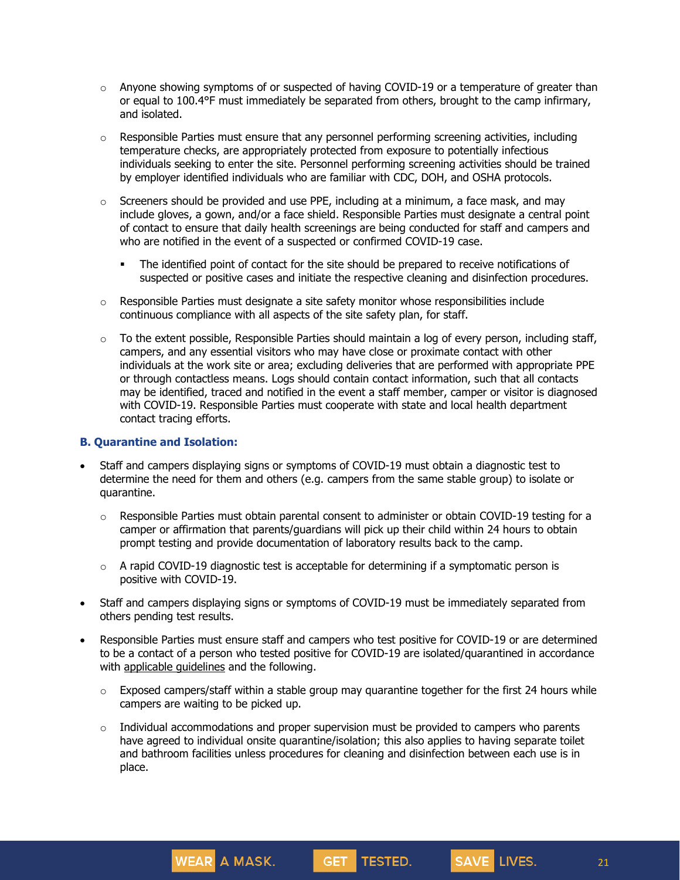- $\circ$  Anyone showing symptoms of or suspected of having COVID-19 or a temperature of greater than or equal to 100.4°F must immediately be separated from others, brought to the camp infirmary, and isolated.
- $\circ$  Responsible Parties must ensure that any personnel performing screening activities, including temperature checks, are appropriately protected from exposure to potentially infectious individuals seeking to enter the site. Personnel performing screening activities should be trained by employer identified individuals who are familiar with CDC, DOH, and OSHA protocols.
- $\circ$  Screeners should be provided and use PPE, including at a minimum, a face mask, and may include gloves, a gown, and/or a face shield. Responsible Parties must designate a central point of contact to ensure that daily health screenings are being conducted for staff and campers and who are notified in the event of a suspected or confirmed COVID-19 case.
	- The identified point of contact for the site should be prepared to receive notifications of suspected or positive cases and initiate the respective cleaning and disinfection procedures.
- $\circ$  Responsible Parties must designate a site safety monitor whose responsibilities include continuous compliance with all aspects of the site safety plan, for staff.
- $\circ$  To the extent possible, Responsible Parties should maintain a log of every person, including staff, campers, and any essential visitors who may have close or proximate contact with other individuals at the work site or area; excluding deliveries that are performed with appropriate PPE or through contactless means. Logs should contain contact information, such that all contacts may be identified, traced and notified in the event a staff member, camper or visitor is diagnosed with COVID-19. Responsible Parties must cooperate with state and local health department contact tracing efforts.

#### **B. Quarantine and Isolation:**

- Staff and campers displaying signs or symptoms of COVID-19 must obtain a diagnostic test to determine the need for them and others (e.g. campers from the same stable group) to isolate or quarantine.
	- $\circ$  Responsible Parties must obtain parental consent to administer or obtain COVID-19 testing for a camper or affirmation that parents/guardians will pick up their child within 24 hours to obtain prompt testing and provide documentation of laboratory results back to the camp.
	- $\circ$  A rapid COVID-19 diagnostic test is acceptable for determining if a symptomatic person is positive with COVID-19.
- Staff and campers displaying signs or symptoms of COVID-19 must be immediately separated from others pending test results.
- Responsible Parties must ensure staff and campers who test positive for COVID-19 or are determined to be a contact of a person who tested positive for COVID-19 are isolated/quarantined in accordance with applicable [guidelines](https://coronavirus.health.ny.gov/system/files/documents/2020/03/quarantine_guidance_0.pdf) and the following.
	- $\circ$  Exposed campers/staff within a stable group may quarantine together for the first 24 hours while campers are waiting to be picked up.
	- $\circ$  Individual accommodations and proper supervision must be provided to campers who parents have agreed to individual onsite quarantine/isolation; this also applies to having separate toilet and bathroom facilities unless procedures for cleaning and disinfection between each use is in place.

GET TESTED.

**WEAR A MASK.** 

21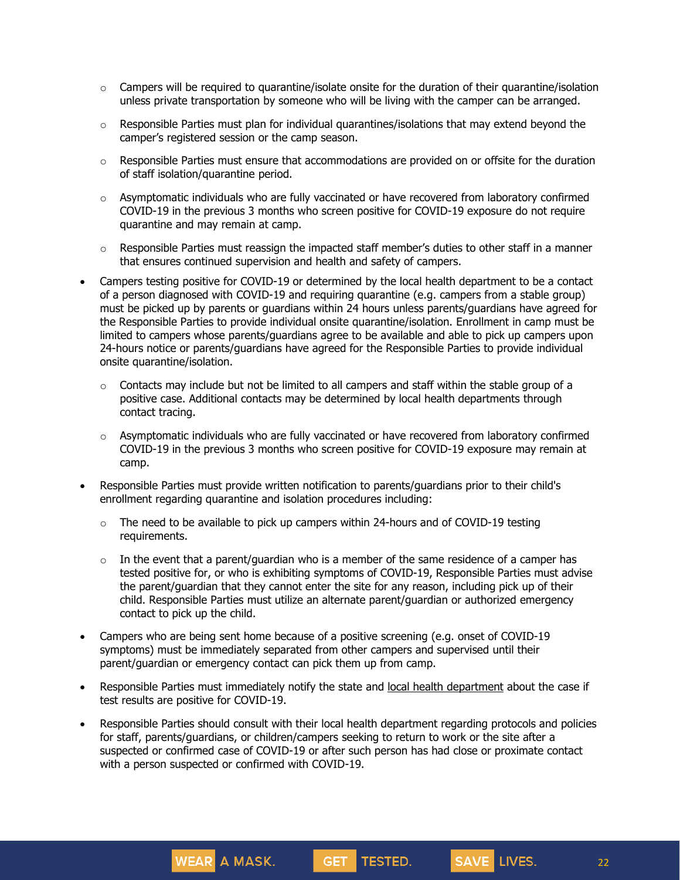- $\circ$  Campers will be required to quarantine/isolate onsite for the duration of their quarantine/isolation unless private transportation by someone who will be living with the camper can be arranged.
- $\circ$  Responsible Parties must plan for individual quarantines/isolations that may extend beyond the camper's registered session or the camp season.
- $\circ$  Responsible Parties must ensure that accommodations are provided on or offsite for the duration of staff isolation/quarantine period.
- $\circ$  Asymptomatic individuals who are fully vaccinated or have recovered from laboratory confirmed COVID-19 in the previous 3 months who screen positive for COVID-19 exposure do not require quarantine and may remain at camp.
- $\circ$  Responsible Parties must reassign the impacted staff member's duties to other staff in a manner that ensures continued supervision and health and safety of campers.
- Campers testing positive for COVID-19 or determined by the local health department to be a contact of a person diagnosed with COVID-19 and requiring quarantine (e.g. campers from a stable group) must be picked up by parents or guardians within 24 hours unless parents/guardians have agreed for the Responsible Parties to provide individual onsite quarantine/isolation. Enrollment in camp must be limited to campers whose parents/guardians agree to be available and able to pick up campers upon 24-hours notice or parents/guardians have agreed for the Responsible Parties to provide individual onsite quarantine/isolation.
	- $\circ$  Contacts may include but not be limited to all campers and staff within the stable group of a positive case. Additional contacts may be determined by local health departments through contact tracing.
	- $\circ$  Asymptomatic individuals who are fully vaccinated or have recovered from laboratory confirmed COVID-19 in the previous 3 months who screen positive for COVID-19 exposure may remain at camp.
- Responsible Parties must provide written notification to parents/guardians prior to their child's enrollment regarding quarantine and isolation procedures including:
	- $\circ$  The need to be available to pick up campers within 24-hours and of COVID-19 testing requirements.
	- $\circ$  In the event that a parent/guardian who is a member of the same residence of a camper has tested positive for, or who is exhibiting symptoms of COVID-19, Responsible Parties must advise the parent/guardian that they cannot enter the site for any reason, including pick up of their child. Responsible Parties must utilize an alternate parent/guardian or authorized emergency contact to pick up the child.
- Campers who are being sent home because of a positive screening (e.g. onset of COVID-19 symptoms) must be immediately separated from other campers and supervised until their parent/guardian or emergency contact can pick them up from camp.

- Responsible Parties must immediately notify the state and local health [department](https://www.health.ny.gov/contact/contact_information/) about the case if test results are positive for COVID-19.
- Responsible Parties should consult with their local health department regarding protocols and policies for staff, parents/guardians, or children/campers seeking to return to work or the site after a suspected or confirmed case of COVID-19 or after such person has had close or proximate contact with a person suspected or confirmed with COVID-19.

GET TESTED.

22